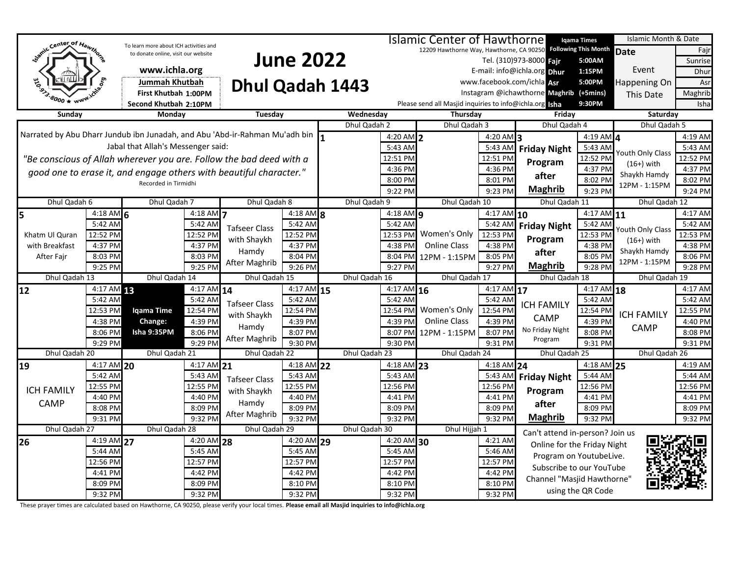|                                                                             |                |                                        |              |                          |                                 |                          |                                                                                                     | Igama Times                                             |                           |                                         |                        | Islamic Month & Date |          |
|-----------------------------------------------------------------------------|----------------|----------------------------------------|--------------|--------------------------|---------------------------------|--------------------------|-----------------------------------------------------------------------------------------------------|---------------------------------------------------------|---------------------------|-----------------------------------------|------------------------|----------------------|----------|
| Semic Center of Hawthorn                                                    |                | To learn more about ICH activities and |              |                          |                                 |                          | <b>Islamic Center of Hawthorne</b><br>12209 Hawthorne Way, Hawthorne, CA 90250 Following This Month |                                                         |                           |                                         | Date<br>Fajr           |                      |          |
|                                                                             |                | to donate online, visit our website    |              |                          |                                 |                          |                                                                                                     |                                                         |                           | Tel. (310)973-8000 Fair                 | 5:00AM                 |                      | Sunrise  |
|                                                                             |                | www.ichla.org                          |              | <b>June 2022</b>         |                                 |                          |                                                                                                     |                                                         |                           | E-mail: info@ichla.org Dhur             | 1:15PM                 | Event                | Dhur     |
|                                                                             |                | <b>Jummah Khutbah</b>                  |              |                          |                                 |                          |                                                                                                     |                                                         |                           | www.facebook.com/ichla Asr              | 5:00PM                 | Happening On         | Asr      |
|                                                                             |                | First Khutbah 1:00PM                   |              | Dhul Qadah 1443          |                                 |                          |                                                                                                     |                                                         |                           | Instagram @ichawthorne Maghrib (+5mins) |                        | This Date            | Maghrib  |
|                                                                             |                | Second Khutbah 2:10PM                  |              |                          |                                 |                          |                                                                                                     | Please send all Masjid inquiries to info@ichla.org Isha |                           |                                         | 9:30PM                 |                      | Isha     |
| Sunday                                                                      |                | Monday                                 |              | Tuesday                  |                                 | Wednesday                |                                                                                                     | Thursday                                                |                           | Friday                                  |                        | Saturday             |          |
|                                                                             |                |                                        |              |                          |                                 | Dhul Qadah 2             |                                                                                                     | Dhul Qadah 3                                            |                           | Dhul Qadah 4                            |                        | Dhul Qadah 5         |          |
| Narrated by Abu Dharr Jundub ibn Junadah, and Abu 'Abd-ir-Rahman Mu'adh bin |                |                                        |              |                          |                                 |                          | 4:20 AM $2$                                                                                         |                                                         | $4:20$ AM 3               |                                         | 4:19 AM $\overline{4}$ |                      | 4:19 AM  |
|                                                                             |                | Jabal that Allah's Messenger said:     |              |                          |                                 | 5:43 AM                  |                                                                                                     | 5:43 AM                                                 | <b>Friday Night</b>       | 5:43 AM                                 |                        | 5:43 AM              |          |
| "Be conscious of Allah wherever you are. Follow the bad deed with a         |                |                                        |              |                          |                                 |                          | 12:51 PM                                                                                            |                                                         | 12:51 PM                  |                                         | 12:52 PM               | Youth Only Class     | 12:52 PM |
| good one to erase it, and engage others with beautiful character."          |                |                                        |              |                          |                                 | 4:36 PM                  |                                                                                                     | 4:36 PM                                                 | Program                   | 4:37 PM                                 | $(16+)$ with           | 4:37 PM              |          |
| Recorded in Tirmidhi                                                        |                |                                        |              |                          |                                 | 8:00 PM                  |                                                                                                     | 8:01 PM                                                 | after                     | 8:02 PM                                 | Shaykh Hamdy           | 8:02 PM              |          |
|                                                                             |                |                                        |              |                          |                                 |                          | 9:22 PM                                                                                             |                                                         | 9:23 PM                   | <b>Maghrib</b>                          | 9:23 PM                | 12PM - 1:15PM        | 9:24 PM  |
| Dhul Qadah 6                                                                |                | Dhul Qadah 7                           |              | Dhul Qadah 8             |                                 |                          | Dhul Qadah 9                                                                                        | Dhul Qadah 10                                           |                           | Dhul Qadah 11                           |                        | Dhul Qadah 12        |          |
| 5                                                                           | $4:18$ AM 6    |                                        | 4:18 AM      |                          | $4:18$ AM $\overline{\text{8}}$ |                          | $4:18$ AM $q$                                                                                       |                                                         | $4:17$ AM $10$            |                                         | $4:17$ AM $11$         |                      | 4:17 AM  |
|                                                                             | 5:42 AM        |                                        | 5:42 AM      | <b>Tafseer Class</b>     | 5:42 AM                         |                          | 5:42 AM                                                                                             |                                                         | 5:42 AM                   | <b>Friday Night</b>                     | 5:42 AM                | Youth Only Class     | 5:42 AM  |
| Khatm Ul Quran                                                              | 12:52 PM       |                                        | 12:52 PM     | with Shaykh              | 12:52 PM                        |                          | 12:53 PM                                                                                            | Women's Only                                            | 12:53 PM                  | Program                                 | 12:53 PM               | $(16+)$ with         | 12:53 PM |
| with Breakfast                                                              | 4:37 PM        |                                        | 4:37 PM      |                          | 4:37 PM                         |                          | 4:38 PM                                                                                             | <b>Online Class</b>                                     | 4:38 PM                   |                                         | 4:38 PM                | Shaykh Hamdy         | 4:38 PM  |
| After Fajr                                                                  | 8:03 PM        |                                        | 8:03 PM      | Hamdy                    | 8:04 PM                         |                          | 8:04 PM                                                                                             | 12PM - 1:15PM                                           | 8:05 PM                   | after                                   | 8:05 PM                | 12PM - 1:15PM        | 8:06 PM  |
|                                                                             | 9:25 PM        |                                        | 9:25 PM      | After Maghrib            | 9:26 PM                         |                          | 9:27 PM                                                                                             |                                                         | 9:27 PM                   | <b>Maghrib</b>                          | 9:28 PM                |                      | 9:28 PM  |
| Dhul Qadah 13                                                               |                | Dhul Qadah 14                          |              | Dhul Qadah 15            |                                 |                          | Dhul Qadah 16                                                                                       | Dhul Qadah 17                                           |                           | Dhul Qadah 18                           |                        | Dhul Qadah 19        |          |
| 12                                                                          | $4:17$ AM $13$ |                                        | $4:17$ AM 14 |                          | $4:17$ AM $15$                  |                          | $4:17$ AM $16$                                                                                      |                                                         | $4:17$ AM 17              |                                         | 4:17 AM 18             |                      | 4:17 AM  |
|                                                                             | 5:42 AM        |                                        | 5:42 AM      | <b>Tafseer Class</b>     | 5:42 AM                         |                          | 5:42 AM                                                                                             |                                                         | 5:42 AM                   | <b>ICH FAMILY</b>                       | 5:42 AM                |                      | 5:42 AM  |
|                                                                             | 12:53 PM       | Iqama Time                             | 12:54 PM     | with Shaykh              | 12:54 PM                        |                          | 12:54 PM                                                                                            | Women's Only                                            | 12:54 PM                  |                                         | 12:54 PM               | <b>ICH FAMILY</b>    | 12:55 PM |
|                                                                             | 4:38 PM        | <b>Change:</b>                         | 4:39 PM      | Hamdy                    | 4:39 PM                         |                          | 4:39 PM                                                                                             | <b>Online Class</b>                                     | 4:39 PM                   | CAMP                                    | 4:39 PM                | CAMP                 | 4:40 PM  |
|                                                                             | 8:06 PM        | Isha 9:35PM                            | 8:06 PM      | After Maghrib            | 8:07 PM                         |                          | 8:07 PM                                                                                             | 12PM - 1:15PM                                           | 8:07 PM                   | No Friday Night                         | 8:08 PM                |                      | 8:08 PM  |
|                                                                             | 9:29 PM        |                                        | 9:29 PM      |                          | 9:30 PM                         |                          | 9:30 PM                                                                                             |                                                         | 9:31 PM                   | Program                                 | 9:31 PM                |                      | 9:31 PM  |
| Dhul Qadah 20                                                               |                | Dhul Qadah 21                          |              | Dhul Qadah 22            |                                 |                          | Dhul Qadah 23                                                                                       | Dhul Qadah 24                                           |                           | Dhul Qadah 25                           |                        | Dhul Qadah 26        |          |
| 19                                                                          | 4:17 AM 20     |                                        | 4:17 AM 21   |                          | 4:18 AM 22                      |                          | 4:18 AM 23                                                                                          |                                                         | 4:18 AM 24                |                                         | 4:18 AM 25             |                      | 4:19 AM  |
|                                                                             | 5:42 AM        |                                        | 5:43 AM      | <b>Tafseer Class</b>     | 5:43 AM                         |                          | 5:43 AM                                                                                             |                                                         | 5:43 AM                   | <b>Friday Night</b>                     | 5:44 AM                |                      | 5:44 AM  |
| <b>ICH FAMILY</b>                                                           | 12:55 PM       |                                        | 12:55 PM     | with Shaykh              | 12:55 PM                        |                          | 12:56 PM                                                                                            |                                                         | 12:56 PM                  | Program                                 | 12:56 PM               |                      | 12:56 PM |
| CAMP                                                                        | 4:40 PM        |                                        | 4:40 PM      | Hamdy                    | 4:40 PM                         |                          | 4:41 PM                                                                                             |                                                         | 4:41 PM                   | after                                   | 4:41 PM                |                      | 4:41 PM  |
|                                                                             | 8:08 PM        |                                        | 8:09 PM      | After Maghrib            | 8:09 PM                         |                          | 8:09 PM                                                                                             |                                                         | 8:09 PM                   |                                         | 8:09 PM                |                      | 8:09 PM  |
| 9:31 PM<br>Dhul Qadah 27                                                    |                | 9:32 PM<br>Dhul Qadah 28               |              | 9:32 PM<br>Dhul Qadah 29 |                                 | 9:32 PM<br>Dhul Qadah 30 |                                                                                                     |                                                         | <b>Maghrib</b><br>9:32 PM |                                         | 9:32 PM                |                      | 9:32 PM  |
| $4:19$ AM 27                                                                |                | $4:20$ AM 28                           |              | 4:20 AM 29               |                                 | $4:20$ AM 30             |                                                                                                     | Dhul Hijjah 1<br>4:21 AM                                |                           | Can't attend in-person? Join us         |                        |                      |          |
| 26                                                                          | 5:44 AM        |                                        | 5:45 AM      |                          | 5:45 AM                         |                          | 5:45 AM                                                                                             |                                                         | 5:46 AM                   | Online for the Friday Night             |                        |                      |          |
|                                                                             | 12:56 PM       |                                        | 12:57 PM     |                          | 12:57 PM                        |                          | 12:57 PM                                                                                            |                                                         | 12:57 PM                  | Program on YoutubeLive.                 |                        |                      |          |
| 4:41 PM                                                                     |                |                                        | 4:42 PM      |                          | 4:42 PM                         |                          | 4:42 PM                                                                                             |                                                         |                           | Subscribe to our YouTube                |                        |                      |          |
| 8:09 PM                                                                     |                | 8:09 PM                                |              | 8:10 PM                  |                                 |                          |                                                                                                     | 4:42 PM<br>8:10 PM                                      |                           | Channel "Masjid Hawthorne"              |                        |                      |          |
|                                                                             |                |                                        |              |                          |                                 |                          |                                                                                                     |                                                         | 8:10 PM<br>9:32 PM        |                                         | using the QR Code      |                      |          |
|                                                                             | 9:32 PM        |                                        | 9:32 PM      |                          | 9:32 PM                         |                          | 9:32 PM                                                                                             |                                                         |                           |                                         |                        |                      |          |

These prayer times are calculated based on Hawthorne, CA 90250, please verify your local times. **Please email all Masjid inquiries to info@ichla.org**